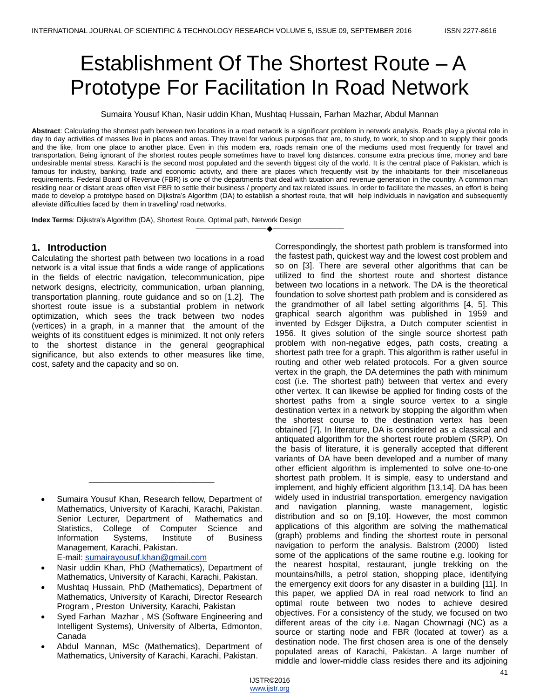# Establishment Of The Shortest Route – A Prototype For Facilitation In Road Network

Sumaira Yousuf Khan, Nasir uddin Khan, Mushtaq Hussain, Farhan Mazhar, Abdul Mannan

**Abstract**: Calculating the shortest path between two locations in a road network is a significant problem in network analysis. Roads play a pivotal role in day to day activities of masses live in places and areas. They travel for various purposes that are, to study, to work, to shop and to supply their goods and the like, from one place to another place. Even in this modern era, roads remain one of the mediums used most frequently for travel and transportation. Being ignorant of the shortest routes people sometimes have to travel long distances, consume extra precious time, money and bare undesirable mental stress. Karachi is the second most populated and the seventh biggest city of the world. It is the central place of Pakistan, which is famous for industry, banking, trade and economic activity, and there are places which frequently visit by the inhabitants for their miscellaneous requirements. Federal Board of Revenue (FBR) is one of the departments that deal with taxation and revenue generation in the country. A common man residing near or distant areas often visit FBR to settle their business / property and tax related issues. In order to facilitate the masses, an effort is being made to develop a prototype based on Dijkstra's Algorithm (DA) to establish a shortest route, that will help individuals in navigation and subsequently alleviate difficulties faced by them in travelling/ road networks.

————————————————————

**Index Terms**: Dijkstra's Algorithm (DA), Shortest Route, Optimal path, Network Design

# **1. Introduction**

Calculating the shortest path between two locations in a road network is a vital issue that finds a wide range of applications in the fields of electric navigation, telecommunication, pipe network designs, electricity, communication, urban planning, transportation planning, route guidance and so on [1,2]. The shortest route issue is a substantial problem in network optimization, which sees the track between two nodes (vertices) in a graph, in a manner that the amount of the weights of its constituent edges is minimized. It not only refers to the shortest distance in the general geographical significance, but also extends to other measures like time, cost, safety and the capacity and so on.

\_\_\_\_\_\_\_\_\_\_\_\_\_\_\_\_\_\_\_\_\_\_\_\_\_\_\_\_\_\_

- Nasir uddin Khan, PhD (Mathematics), Department of Mathematics, University of Karachi, Karachi, Pakistan.
- Mushtaq Hussain, PhD (Mathematics), Department of Mathematics, University of Karachi, Director Research Program , Preston University, Karachi, Pakistan
- Syed Farhan Mazhar , MS (Software Engineering and Intelligent Systems), University of Alberta, Edmonton, Canada
- Abdul Mannan, MSc (Mathematics), Department of Mathematics, University of Karachi, Karachi, Pakistan.

Correspondingly, the shortest path problem is transformed into the fastest path, quickest way and the lowest cost problem and so on [3]. There are several other algorithms that can be utilized to find the shortest route and shortest distance between two locations in a network. The DA is the theoretical foundation to solve shortest path problem and is considered as the grandmother of all label setting algorithms [4, 5]. This graphical search algorithm was published in 1959 and invented by Edsger Dijkstra, a Dutch computer scientist in 1956. It gives solution of the single source shortest path problem with non-negative edges, path costs, creating a shortest path tree for a graph. This algorithm is rather useful in routing and other web related protocols. For a given source vertex in the graph, the DA determines the path with minimum cost (i.e. The shortest path) between that vertex and every other vertex. It can likewise be applied for finding costs of the shortest paths from a single source vertex to a single destination vertex in a network by stopping the algorithm when the shortest course to the destination vertex has been obtained [7]. In literature, DA is considered as a classical and antiquated algorithm for the shortest route problem (SRP). On the basis of literature, it is generally accepted that different variants of DA have been developed and a number of many other efficient algorithm is implemented to solve one-to-one shortest path problem. It is simple, easy to understand and implement, and highly efficient algorithm [13,14]. DA has been widely used in industrial transportation, emergency navigation and navigation planning, waste management, logistic distribution and so on [9,10]. However, the most common applications of this algorithm are solving the mathematical (graph) problems and finding the shortest route in personal navigation to perform the analysis. Balstrom (2000) listed some of the applications of the same routine e.g. looking for the nearest hospital, restaurant, jungle trekking on the mountains/hills, a petrol station, shopping place, identifying the emergency exit doors for any disaster in a building [11]. In this paper, we applied DA in real road network to find an optimal route between two nodes to achieve desired objectives. For a consistency of the study, we focused on two different areas of the city i.e. Nagan Chowrnagi (NC) as a source or starting node and FBR (located at tower) as a destination node. The first chosen area is one of the densely populated areas of Karachi, Pakistan. A large number of middle and lower-middle class resides there and its adjoining

Sumaira Yousuf Khan, Research fellow, Department of Mathematics, University of Karachi, Karachi, Pakistan. Senior Lecturer, Department of Mathematics and Statistics, College of Computer Science and Information Systems, Institute of Business Management, Karachi, Pakistan. E-mail[: sumairayousuf.khan@gmail.com](mailto:sumairayousuf.khan@gmail.com)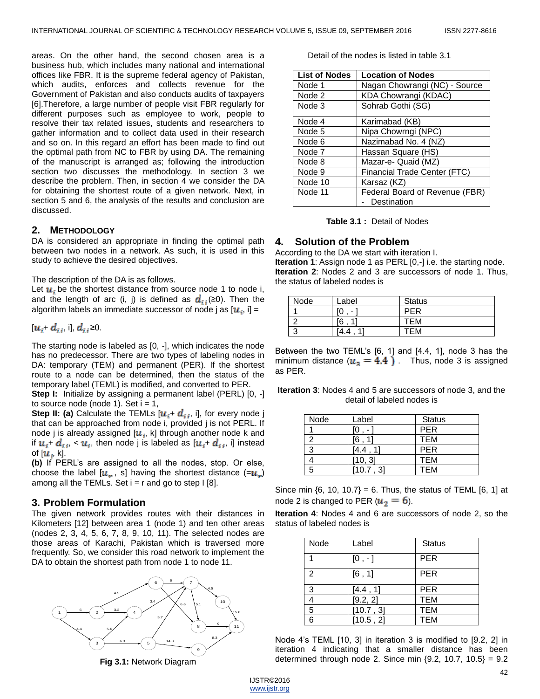areas. On the other hand, the second chosen area is a business hub, which includes many national and international offices like FBR. It is the supreme federal agency of Pakistan, which audits, enforces and collects revenue for the Government of Pakistan and also conducts audits of taxpayers [6].Therefore, a large number of people visit FBR regularly for different purposes such as employee to work, people to resolve their tax related issues, students and researchers to gather information and to collect data used in their research and so on. In this regard an effort has been made to find out the optimal path from NC to FBR by using DA. The remaining of the manuscript is arranged as; following the introduction section two discusses the methodology. In section 3 we describe the problem. Then, in section 4 we consider the DA for obtaining the shortest route of a given network. Next, in section 5 and 6, the analysis of the results and conclusion are discussed.

#### **2. METHODOLOGY**

DA is considered an appropriate in finding the optimal path between two nodes in a network. As such, it is used in this study to achieve the desired objectives.

#### The description of the DA is as follows.

Let  $u_i$ , be the shortest distance from source node 1 to node i, and the length of arc (i, j) is defined as  $d_{ij}(≥0)$ . Then the algorithm labels an immediate successor of node j as  $[\boldsymbol{u}_i, i]$  =

 $[u_i + d_{ij}]$ , i],  $d_{ij} \ge 0$ .

The starting node is labeled as [0, -], which indicates the node has no predecessor. There are two types of labeling nodes in DA: temporary (TEM) and permanent (PER). If the shortest route to a node can be determined, then the status of the temporary label (TEML) is modified, and converted to PER.

**Step I:** Initialize by assigning a permanent label (PERL) [0, -] to source node (node 1). Set  $i = 1$ ,

**Step II: (a)** Calculate the TEMLs  $[u_i + d_{ij}, i]$ , for every node j that can be approached from node i, provided j is not PERL. If node j is already assigned  $[u_i, k]$  through another node k and if  $u_i$ +  $d_{ii}$ ,  $u_i$ , then node j is labeled as  $[u_i + d_{ii}$ , i] instead of  $[\boldsymbol{u}_i, k]$ .

**(b)** If PERL's are assigned to all the nodes, stop. Or else, choose the label  $[u_{n}, s]$  having the shortest distance  $(=u_{n})$ among all the TEMLs. Set  $i = r$  and go to step I [8].

# **3. Problem Formulation**

The given network provides routes with their distances in Kilometers [12] between area 1 (node 1) and ten other areas (nodes 2, 3, 4, 5, 6, 7, 8, 9, 10, 11). The selected nodes are those areas of Karachi, Pakistan which is traversed more frequently. So, we consider this road network to implement the DA to obtain the shortest path from node 1 to node 11.



**Fig 3.1:** Network Diagram

Detail of the nodes is listed in table 3.1

| <b>List of Nodes</b> | <b>Location of Nodes</b>       |
|----------------------|--------------------------------|
| Node 1               | Nagan Chowrangi (NC) - Source  |
| Node 2               | KDA Chowrangi (KDAC)           |
| Node 3               | Sohrab Gothi (SG)              |
| Node 4               | Karimabad (KB)                 |
| Node 5               | Nipa Chowrngi (NPC)            |
| Node 6               | Nazimabad No. 4 (NZ)           |
| Node 7               | Hassan Square (HS)             |
| Node 8               | Mazar-e- Quaid (MZ)            |
| Node 9               | Financial Trade Center (FTC)   |
| Node 10              | Karsaz (KZ)                    |
| Node 11              | Federal Board of Revenue (FBR) |
|                      | Destination                    |

|  | <b>Table 3.1: Detail of Nodes</b> |
|--|-----------------------------------|
|--|-----------------------------------|

#### **4. Solution of the Problem**

According to the DA we start with iteration I. **Iteration 1**: Assign node 1 as PERL [0,-] i.e. the starting node. **Iteration 2**: Nodes 2 and 3 are successors of node 1. Thus, the status of labeled nodes is

| Node | _abel                    | <b>Status</b> |
|------|--------------------------|---------------|
|      | $\overline{\phantom{0}}$ | PER           |
|      | 6'                       | тем           |
|      | 4<br>4.4                 | ГFМ           |

Between the two TEML's [6, 1] and [4.4, 1], node 3 has the minimum distance  $(u_{\alpha} = 4.4)$ . Thus, node 3 is assigned as PER.

**Iteration 3**: Nodes 4 and 5 are successors of node 3, and the detail of labeled nodes is

| Node | Label   | <b>Status</b> |
|------|---------|---------------|
|      |         | <b>PER</b>    |
| 2    | 67      | <b>TEM</b>    |
| 3    | 4.4     | <b>PER</b>    |
|      | 10, 3   | <b>TEM</b>    |
| 5    | 10.7.31 | <b>TEM</b>    |

Since min  $\{6, 10, 10.7\} = 6$ . Thus, the status of TEML  $[6, 1]$  at node 2 is changed to PER ( $u_2 = 6$ ).

**Iteration 4**: Nodes 4 and 6 are successors of node 2, so the status of labeled nodes is

| Node           | Label     | <b>Status</b> |
|----------------|-----------|---------------|
|                | $[0, -]$  | <b>PER</b>    |
| $\overline{2}$ | [6, 1]    | <b>PER</b>    |
| $\mathbf{3}$   | [4.4, 1]  | <b>PER</b>    |
|                | [9.2, 2]  | <b>TEM</b>    |
| 5              | [10.7, 3] | <b>TEM</b>    |
| հ              | [10.5, 2] | <b>TEM</b>    |

Node 4's TEML [10, 3] in iteration 3 is modified to [9.2, 2] in iteration 4 indicating that a smaller distance has been determined through node 2. Since min  ${9.2, 10.7, 10.5} = 9.2$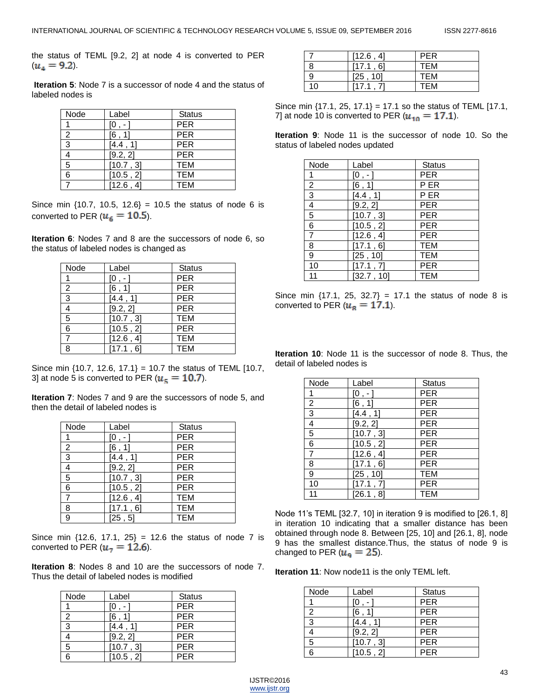the status of TEML [9.2, 2] at node 4 is converted to PER  $(u_4 = 9.2)$ .

**Iteration 5**: Node 7 is a successor of node 4 and the status of labeled nodes is

| Node           | Label     | <b>Status</b> |
|----------------|-----------|---------------|
|                | $10 -$    | <b>PER</b>    |
| $\overline{2}$ | [6, 1]    | <b>PER</b>    |
| $\overline{3}$ | [4.4, 1]  | <b>PER</b>    |
|                | [9.2, 2]  | <b>PER</b>    |
| 5              | [10.7, 3] | <b>TEM</b>    |
| 6              | [10.5, 2] | <b>TEM</b>    |
|                | [12.6, 4] | <b>TEM</b>    |

Since min  $\{10.7, 10.5, 12.6\} = 10.5$  the status of node 6 is converted to PER ( $u<sub>6</sub> = 10.5$ ).

**Iteration 6**: Nodes 7 and 8 are the successors of node 6, so the status of labeled nodes is changed as

| Node           | Label     | <b>Status</b> |
|----------------|-----------|---------------|
|                | [O,- ]    | <b>PER</b>    |
| $\overline{2}$ | [6, 1]    | <b>PER</b>    |
| $\overline{3}$ | [4.4, 1]  | <b>PER</b>    |
| $\overline{4}$ | [9.2, 2]  | <b>PER</b>    |
| 5              | [10.7, 3] | <b>TEM</b>    |
| 6              | [10.5, 2] | <b>PER</b>    |
|                | [12.6, 4] | <b>TEM</b>    |
| 8              | [17.1, 6] | <b>TEM</b>    |

Since min  $\{10.7, 12.6, 17.1\} = 10.7$  the status of TEML  $[10.7,$ 3] at node 5 is converted to PER ( $u<sub>5</sub> = 10.7$ ).

**Iteration 7**: Nodes 7 and 9 are the successors of node 5, and then the detail of labeled nodes is

| Node                     | Label     | <b>Status</b> |
|--------------------------|-----------|---------------|
| 1                        | $[0, -]$  | <b>PER</b>    |
| $\overline{2}$           | [6, 1]    | <b>PER</b>    |
| $\overline{3}$           | [4.4, 1]  | <b>PER</b>    |
| $\overline{\mathcal{A}}$ | [9.2, 2]  | <b>PER</b>    |
| $\overline{5}$           | [10.7, 3] | <b>PER</b>    |
| $\overline{6}$           | [10.5, 2] | <b>PER</b>    |
| $\overline{7}$           | [12.6, 4] | <b>TEM</b>    |
| 8                        | [17.1, 6] | <b>TEM</b>    |
| 9                        | [25, 5]   | <b>TEM</b>    |

Since min  $\{12.6, 17.1, 25\} = 12.6$  the status of node 7 is converted to PER ( $u_7 = 12.6$ ).

**Iteration 8**: Nodes 8 and 10 are the successors of node 7. Thus the detail of labeled nodes is modified

| Node | Label     | <b>Status</b> |
|------|-----------|---------------|
|      | ſО        | <b>PER</b>    |
| 2    | [6, 1]    | <b>PER</b>    |
| 3    | [4.4, 1]  | <b>PER</b>    |
|      | [9.2, 2]  | <b>PER</b>    |
| 5    | [10.7, 3] | <b>PER</b>    |
| 6    | [10.5, 2] | <b>PER</b>    |

|    | [12.6, 4] | <b>PER</b> |
|----|-----------|------------|
|    | [17.1, 6] | <b>TEM</b> |
| 9  | [25, 10]  | <b>TEM</b> |
| 10 | [17.1, 7] | TEM        |

Since min  $\{17.1, 25, 17.1\} = 17.1$  so the status of TEML  $[17.1, 1]$ 7] at node 10 is converted to PER  $(u_{10} = 17.1)$ .

**Iteration 9**: Node 11 is the successor of node 10. So the status of labeled nodes updated

| Node           | Label      | <b>Status</b>   |
|----------------|------------|-----------------|
|                | $[0, -]$   | <b>PER</b>      |
| $\overline{c}$ | [6, 1]     | P ER            |
| $\overline{3}$ | [4.4, 1]   | P <sub>ER</sub> |
| 4              | [9.2, 2]   | <b>PER</b>      |
| $\overline{5}$ | [10.7, 3]  | <b>PER</b>      |
| 6              | [10.5, 2]  | <b>PER</b>      |
| $\overline{7}$ | [12.6, 4]  | <b>PER</b>      |
| 8              | [17.1, 6]  | <b>TEM</b>      |
| 9              | [25, 10]   | <b>TEM</b>      |
| 10             | [17.1, 7]  | <b>PER</b>      |
| 11             | [32.7, 10] | <b>TEM</b>      |

Since min  $\{17.1, 25, 32.7\} = 17.1$  the status of node 8 is converted to PER ( $u_{\rm g} = 17.1$ ).

**Iteration 10**: Node 11 is the successor of node 8. Thus, the detail of labeled nodes is

| Node                     | Label                  | <b>Status</b> |
|--------------------------|------------------------|---------------|
|                          | $[0, -]$               | <b>PER</b>    |
| 2                        | [6, 1]                 | <b>PER</b>    |
| 3                        | [4.4, 1]               | <b>PER</b>    |
| $\overline{\mathcal{A}}$ | [9.2, 2]               | <b>PER</b>    |
| 5                        | $\overline{[10.7, 3]}$ | <b>PER</b>    |
| 6                        | [10.5, 2]              | <b>PER</b>    |
| $\overline{7}$           | $\overline{12.6}$ , 4] | <b>PER</b>    |
| 8                        | [17.1, 6]              | <b>PER</b>    |
| 9                        | [25, 10]               | <b>TEM</b>    |
| 10                       | [17.1, 7]              | <b>PER</b>    |
| 11                       | [26.1, 8]              | <b>TEM</b>    |

Node 11's TEML [32.7, 10] in iteration 9 is modified to [26.1, 8] in iteration 10 indicating that a smaller distance has been obtained through node 8. Between [25, 10] and [26.1, 8], node 9 has the smallest distance.Thus, the status of node 9 is changed to PER ( $u_{\mathsf{g}} = 25$ ).

**Iteration 11**: Now node11 is the only TEML left.

| Node | Label     | <b>Status</b> |
|------|-----------|---------------|
|      |           | <b>PER</b>    |
| 2    | [6,1]     | <b>PER</b>    |
| 3    | [4.4, 1]  | <b>PER</b>    |
|      | [9.2, 2]  | <b>PER</b>    |
| 5    | [10.7, 3] | <b>PER</b>    |
| հ    | [10.5, 2] | <b>PER</b>    |